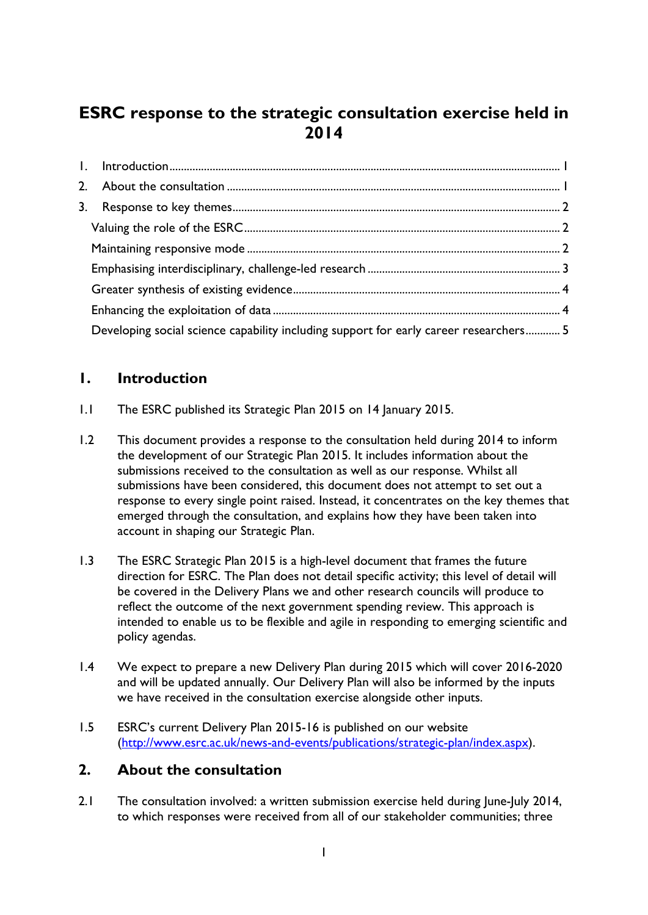# **ESRC response to the strategic consultation exercise held in 2014**

| Developing social science capability including support for early career researchers 5 |  |
|---------------------------------------------------------------------------------------|--|

# <span id="page-0-0"></span>**1. Introduction**

- 1.1 The ESRC published its Strategic Plan 2015 on 14 January 2015.
- 1.2 This document provides a response to the consultation held during 2014 to inform the development of our Strategic Plan 2015. It includes information about the submissions received to the consultation as well as our response. Whilst all submissions have been considered, this document does not attempt to set out a response to every single point raised. Instead, it concentrates on the key themes that emerged through the consultation, and explains how they have been taken into account in shaping our Strategic Plan.
- 1.3 The ESRC Strategic Plan 2015 is a high-level document that frames the future direction for ESRC. The Plan does not detail specific activity; this level of detail will be covered in the Delivery Plans we and other research councils will produce to reflect the outcome of the next government spending review. This approach is intended to enable us to be flexible and agile in responding to emerging scientific and policy agendas.
- 1.4 We expect to prepare a new Delivery Plan during 2015 which will cover 2016-2020 and will be updated annually. Our Delivery Plan will also be informed by the inputs we have received in the consultation exercise alongside other inputs.
- 1.5 ESRC's current Delivery Plan 2015-16 is published on our website [\(http://www.esrc.ac.uk/news-and-events/publications/strategic-plan/index.aspx\)](http://www.esrc.ac.uk/news-and-events/publications/strategic-plan/index.aspx).

# <span id="page-0-1"></span>**2. About the consultation**

2.1 The consultation involved: a written submission exercise held during June-July 2014, to which responses were received from all of our stakeholder communities; three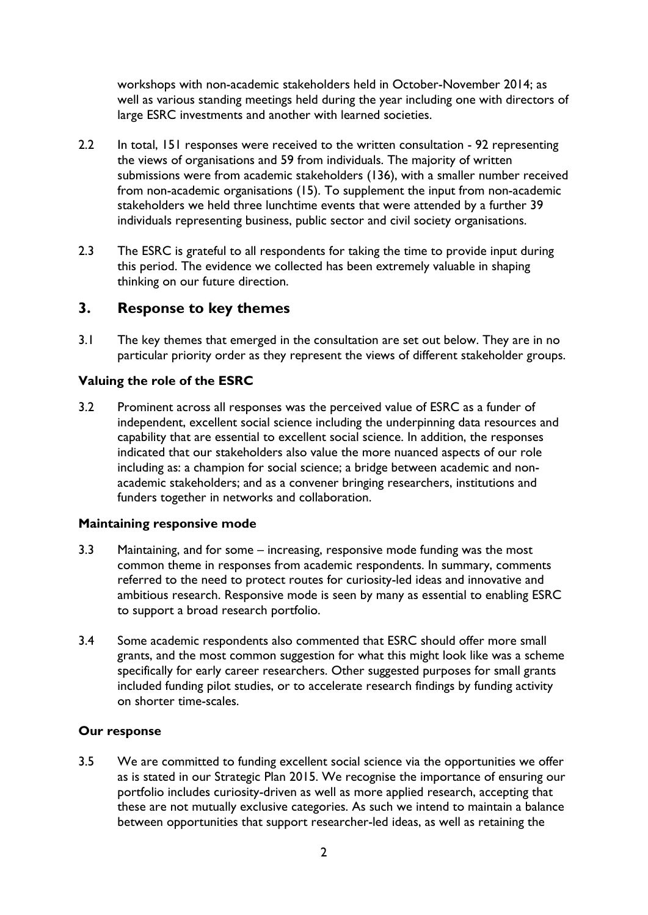workshops with non-academic stakeholders held in October-November 2014; as well as various standing meetings held during the year including one with directors of large ESRC investments and another with learned societies.

- 2.2 In total, 151 responses were received to the written consultation 92 representing the views of organisations and 59 from individuals. The majority of written submissions were from academic stakeholders (136), with a smaller number received from non-academic organisations (15). To supplement the input from non-academic stakeholders we held three lunchtime events that were attended by a further 39 individuals representing business, public sector and civil society organisations.
- 2.3 The ESRC is grateful to all respondents for taking the time to provide input during this period. The evidence we collected has been extremely valuable in shaping thinking on our future direction.

# <span id="page-1-0"></span>**3. Response to key themes**

3.1 The key themes that emerged in the consultation are set out below. They are in no particular priority order as they represent the views of different stakeholder groups.

# <span id="page-1-1"></span>**Valuing the role of the ESRC**

3.2 Prominent across all responses was the perceived value of ESRC as a funder of independent, excellent social science including the underpinning data resources and capability that are essential to excellent social science. In addition, the responses indicated that our stakeholders also value the more nuanced aspects of our role including as: a champion for social science; a bridge between academic and nonacademic stakeholders; and as a convener bringing researchers, institutions and funders together in networks and collaboration.

## <span id="page-1-2"></span>**Maintaining responsive mode**

- 3.3 Maintaining, and for some increasing, responsive mode funding was the most common theme in responses from academic respondents. In summary, comments referred to the need to protect routes for curiosity-led ideas and innovative and ambitious research. Responsive mode is seen by many as essential to enabling ESRC to support a broad research portfolio.
- 3.4 Some academic respondents also commented that ESRC should offer more small grants, and the most common suggestion for what this might look like was a scheme specifically for early career researchers. Other suggested purposes for small grants included funding pilot studies, or to accelerate research findings by funding activity on shorter time-scales.

## **Our response**

3.5 We are committed to funding excellent social science via the opportunities we offer as is stated in our Strategic Plan 2015. We recognise the importance of ensuring our portfolio includes curiosity-driven as well as more applied research, accepting that these are not mutually exclusive categories. As such we intend to maintain a balance between opportunities that support researcher-led ideas, as well as retaining the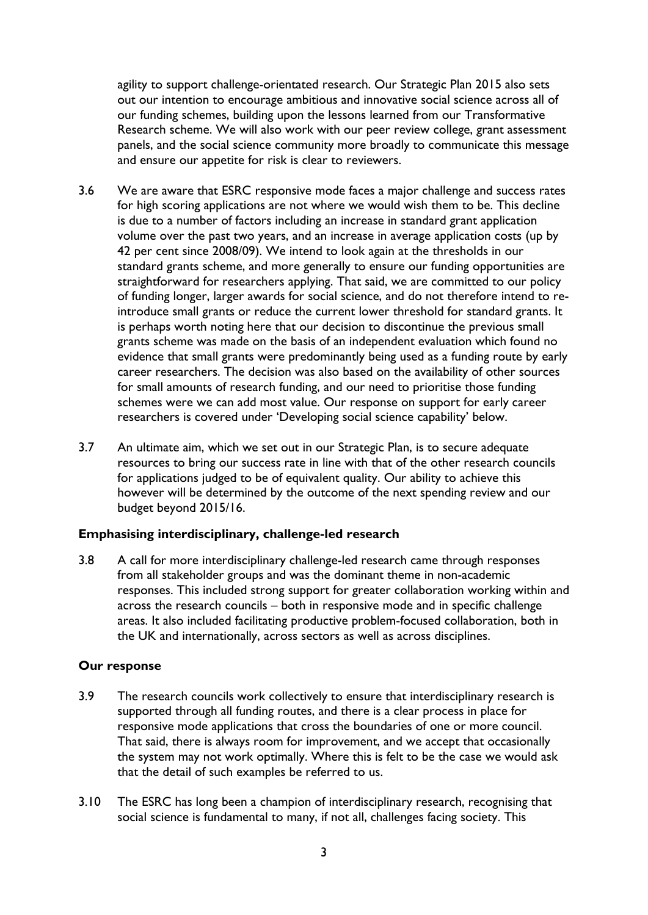agility to support challenge-orientated research. Our Strategic Plan 2015 also sets out our intention to encourage ambitious and innovative social science across all of our funding schemes, building upon the lessons learned from our Transformative Research scheme. We will also work with our peer review college, grant assessment panels, and the social science community more broadly to communicate this message and ensure our appetite for risk is clear to reviewers.

- 3.6 We are aware that ESRC responsive mode faces a major challenge and success rates for high scoring applications are not where we would wish them to be. This decline is due to a number of factors including an increase in standard grant application volume over the past two years, and an increase in average application costs (up by 42 per cent since 2008/09). We intend to look again at the thresholds in our standard grants scheme, and more generally to ensure our funding opportunities are straightforward for researchers applying. That said, we are committed to our policy of funding longer, larger awards for social science, and do not therefore intend to reintroduce small grants or reduce the current lower threshold for standard grants. It is perhaps worth noting here that our decision to discontinue the previous small grants scheme was made on the basis of an independent evaluation which found no evidence that small grants were predominantly being used as a funding route by early career researchers. The decision was also based on the availability of other sources for small amounts of research funding, and our need to prioritise those funding schemes were we can add most value. Our response on support for early career researchers is covered under 'Developing social science capability' below.
- 3.7 An ultimate aim, which we set out in our Strategic Plan, is to secure adequate resources to bring our success rate in line with that of the other research councils for applications judged to be of equivalent quality. Our ability to achieve this however will be determined by the outcome of the next spending review and our budget beyond 2015/16.

## <span id="page-2-0"></span>**Emphasising interdisciplinary, challenge-led research**

3.8 A call for more interdisciplinary challenge-led research came through responses from all stakeholder groups and was the dominant theme in non-academic responses. This included strong support for greater collaboration working within and across the research councils – both in responsive mode and in specific challenge areas. It also included facilitating productive problem-focused collaboration, both in the UK and internationally, across sectors as well as across disciplines.

# **Our response**

- 3.9 The research councils work collectively to ensure that interdisciplinary research is supported through all funding routes, and there is a clear process in place for responsive mode applications that cross the boundaries of one or more council. That said, there is always room for improvement, and we accept that occasionally the system may not work optimally. Where this is felt to be the case we would ask that the detail of such examples be referred to us.
- 3.10 The ESRC has long been a champion of interdisciplinary research, recognising that social science is fundamental to many, if not all, challenges facing society. This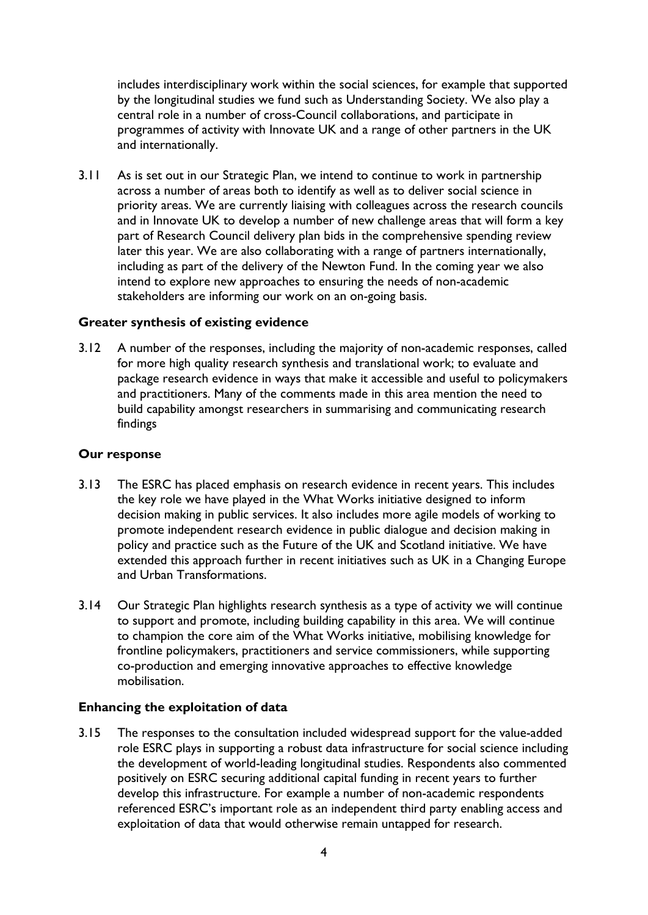includes interdisciplinary work within the social sciences, for example that supported by the longitudinal studies we fund such as Understanding Society. We also play a central role in a number of cross-Council collaborations, and participate in programmes of activity with Innovate UK and a range of other partners in the UK and internationally.

3.11 As is set out in our Strategic Plan, we intend to continue to work in partnership across a number of areas both to identify as well as to deliver social science in priority areas. We are currently liaising with colleagues across the research councils and in Innovate UK to develop a number of new challenge areas that will form a key part of Research Council delivery plan bids in the comprehensive spending review later this year. We are also collaborating with a range of partners internationally, including as part of the delivery of the Newton Fund. In the coming year we also intend to explore new approaches to ensuring the needs of non-academic stakeholders are informing our work on an on-going basis.

# <span id="page-3-0"></span>**Greater synthesis of existing evidence**

3.12 A number of the responses, including the majority of non-academic responses, called for more high quality research synthesis and translational work; to evaluate and package research evidence in ways that make it accessible and useful to policymakers and practitioners. Many of the comments made in this area mention the need to build capability amongst researchers in summarising and communicating research findings

# **Our response**

- 3.13 The ESRC has placed emphasis on research evidence in recent years. This includes the key role we have played in the What Works initiative designed to inform decision making in public services. It also includes more agile models of working to promote independent research evidence in public dialogue and decision making in policy and practice such as the Future of the UK and Scotland initiative. We have extended this approach further in recent initiatives such as UK in a Changing Europe and Urban Transformations.
- 3.14 Our Strategic Plan highlights research synthesis as a type of activity we will continue to support and promote, including building capability in this area. We will continue to champion the core aim of the What Works initiative, mobilising knowledge for frontline policymakers, practitioners and service commissioners, while supporting co-production and emerging innovative approaches to effective knowledge mobilisation.

## <span id="page-3-1"></span>**Enhancing the exploitation of data**

3.15 The responses to the consultation included widespread support for the value-added role ESRC plays in supporting a robust data infrastructure for social science including the development of world-leading longitudinal studies. Respondents also commented positively on ESRC securing additional capital funding in recent years to further develop this infrastructure. For example a number of non-academic respondents referenced ESRC's important role as an independent third party enabling access and exploitation of data that would otherwise remain untapped for research.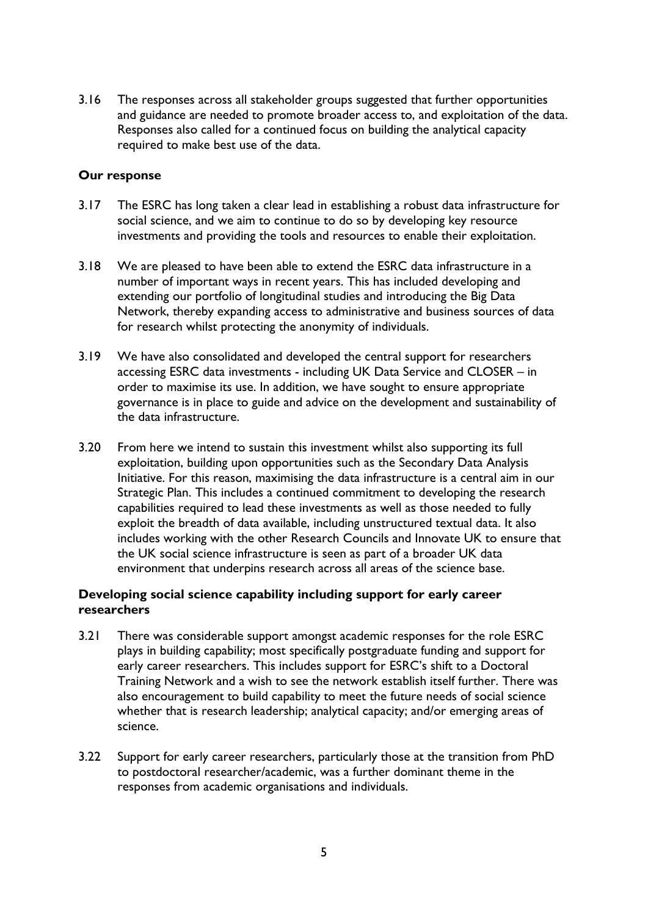3.16 The responses across all stakeholder groups suggested that further opportunities and guidance are needed to promote broader access to, and exploitation of the data. Responses also called for a continued focus on building the analytical capacity required to make best use of the data.

# **Our response**

- 3.17 The ESRC has long taken a clear lead in establishing a robust data infrastructure for social science, and we aim to continue to do so by developing key resource investments and providing the tools and resources to enable their exploitation.
- 3.18 We are pleased to have been able to extend the ESRC data infrastructure in a number of important ways in recent years. This has included developing and extending our portfolio of longitudinal studies and introducing the Big Data Network, thereby expanding access to administrative and business sources of data for research whilst protecting the anonymity of individuals.
- 3.19 We have also consolidated and developed the central support for researchers accessing ESRC data investments - including UK Data Service and CLOSER – in order to maximise its use. In addition, we have sought to ensure appropriate governance is in place to guide and advice on the development and sustainability of the data infrastructure.
- 3.20 From here we intend to sustain this investment whilst also supporting its full exploitation, building upon opportunities such as the Secondary Data Analysis Initiative. For this reason, maximising the data infrastructure is a central aim in our Strategic Plan. This includes a continued commitment to developing the research capabilities required to lead these investments as well as those needed to fully exploit the breadth of data available, including unstructured textual data. It also includes working with the other Research Councils and Innovate UK to ensure that the UK social science infrastructure is seen as part of a broader UK data environment that underpins research across all areas of the science base.

# <span id="page-4-0"></span>**Developing social science capability including support for early career researchers**

- 3.21 There was considerable support amongst academic responses for the role ESRC plays in building capability; most specifically postgraduate funding and support for early career researchers. This includes support for ESRC's shift to a Doctoral Training Network and a wish to see the network establish itself further. There was also encouragement to build capability to meet the future needs of social science whether that is research leadership; analytical capacity; and/or emerging areas of science.
- 3.22 Support for early career researchers, particularly those at the transition from PhD to postdoctoral researcher/academic, was a further dominant theme in the responses from academic organisations and individuals.